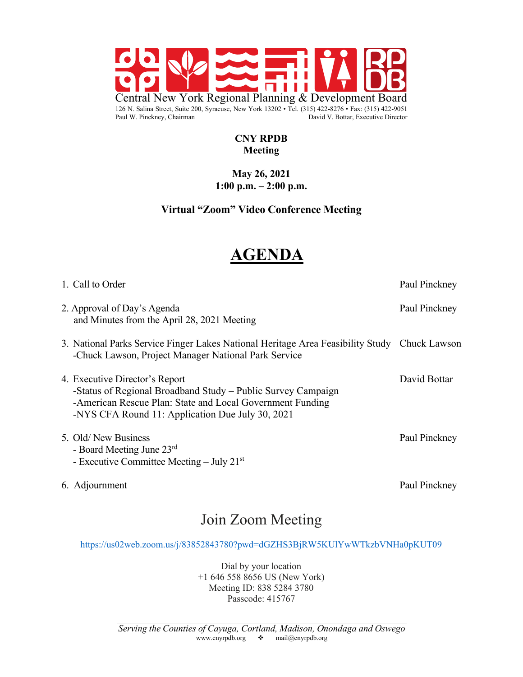

#### **CNY RPDB Meeting**

#### **May 26, 2021 1:00 p.m. – 2:00 p.m.**

## **Virtual "Zoom" Video Conference Meeting**

# **AGENDA**

| 1. Call to Order                                                                                                                                                                                                | Paul Pinckney |
|-----------------------------------------------------------------------------------------------------------------------------------------------------------------------------------------------------------------|---------------|
| 2. Approval of Day's Agenda<br>and Minutes from the April 28, 2021 Meeting                                                                                                                                      | Paul Pinckney |
| 3. National Parks Service Finger Lakes National Heritage Area Feasibility Study Chuck Lawson<br>-Chuck Lawson, Project Manager National Park Service                                                            |               |
| 4. Executive Director's Report<br>-Status of Regional Broadband Study – Public Survey Campaign<br>-American Rescue Plan: State and Local Government Funding<br>-NYS CFA Round 11: Application Due July 30, 2021 | David Bottar  |
| 5. Old/New Business<br>- Board Meeting June 23rd<br>- Executive Committee Meeting – July $21st$                                                                                                                 | Paul Pinckney |
| 6. Adjournment                                                                                                                                                                                                  | Paul Pinckney |

## Join Zoom Meeting

https://us02web.zoom.us/j/83852843780?pwd=dGZHS3BjRW5KUlYwWTkzbVNHa0pKUT09

Dial by your location +1 646 558 8656 US (New York) Meeting ID: 838 5284 3780 Passcode: 415767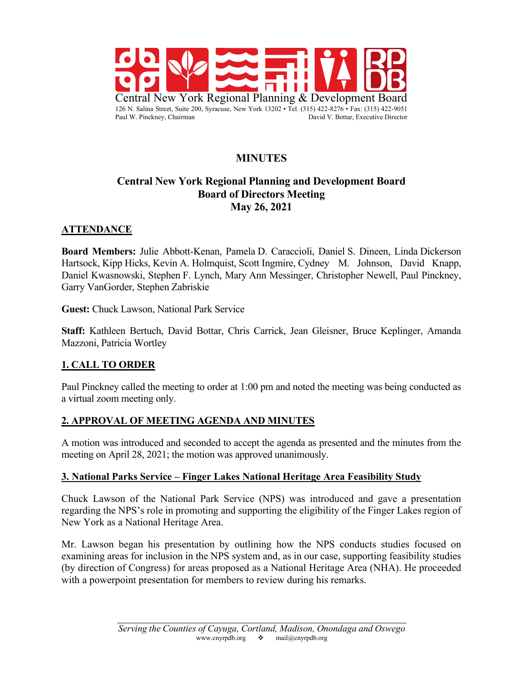

## **MINUTES**

## **Central New York Regional Planning and Development Board Board of Directors Meeting May 26, 2021**

## **ATTENDANCE**

**Board Members:** Julie Abbott-Kenan, Pamela D. Caraccioli, Daniel S. Dineen, Linda Dickerson Hartsock, Kipp Hicks, Kevin A. Holmquist, Scott Ingmire, Cydney M. Johnson, David Knapp, Daniel Kwasnowski, Stephen F. Lynch, Mary Ann Messinger, Christopher Newell, Paul Pinckney, Garry VanGorder, Stephen Zabriskie

**Guest:** Chuck Lawson, National Park Service

**Staff:** Kathleen Bertuch, David Bottar, Chris Carrick, Jean Gleisner, Bruce Keplinger, Amanda Mazzoni, Patricia Wortley

## **1. CALL TO ORDER**

Paul Pinckney called the meeting to order at 1:00 pm and noted the meeting was being conducted as a virtual zoom meeting only.

#### **2. APPROVAL OF MEETING AGENDA AND MINUTES**

A motion was introduced and seconded to accept the agenda as presented and the minutes from the meeting on April 28, 2021; the motion was approved unanimously.

#### **3. National Parks Service – Finger Lakes National Heritage Area Feasibility Study**

Chuck Lawson of the National Park Service (NPS) was introduced and gave a presentation regarding the NPS's role in promoting and supporting the eligibility of the Finger Lakes region of New York as a National Heritage Area.

Mr. Lawson began his presentation by outlining how the NPS conducts studies focused on examining areas for inclusion in the NPS system and, as in our case, supporting feasibility studies (by direction of Congress) for areas proposed as a National Heritage Area (NHA). He proceeded with a powerpoint presentation for members to review during his remarks.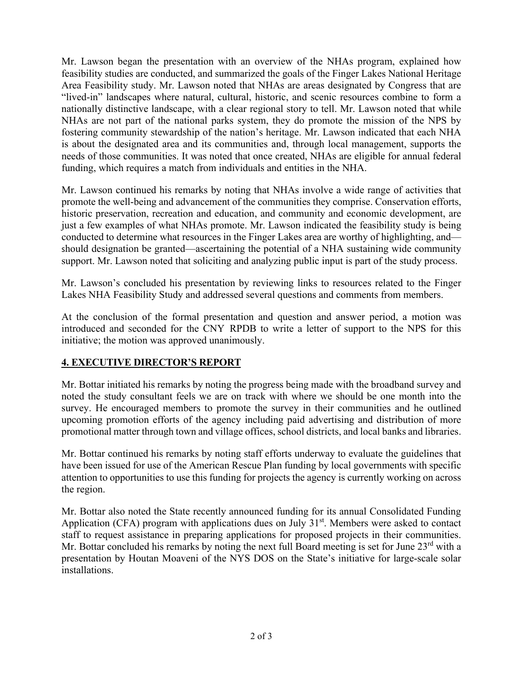Mr. Lawson began the presentation with an overview of the NHAs program, explained how feasibility studies are conducted, and summarized the goals of the Finger Lakes National Heritage Area Feasibility study. Mr. Lawson noted that NHAs are areas designated by Congress that are "lived-in" landscapes where natural, cultural, historic, and scenic resources combine to form a nationally distinctive landscape, with a clear regional story to tell. Mr. Lawson noted that while NHAs are not part of the national parks system, they do promote the mission of the NPS by fostering community stewardship of the nation's heritage. Mr. Lawson indicated that each NHA is about the designated area and its communities and, through local management, supports the needs of those communities. It was noted that once created, NHAs are eligible for annual federal funding, which requires a match from individuals and entities in the NHA.

Mr. Lawson continued his remarks by noting that NHAs involve a wide range of activities that promote the well-being and advancement of the communities they comprise. Conservation efforts, historic preservation, recreation and education, and community and economic development, are just a few examples of what NHAs promote. Mr. Lawson indicated the feasibility study is being conducted to determine what resources in the Finger Lakes area are worthy of highlighting, and should designation be granted—ascertaining the potential of a NHA sustaining wide community support. Mr. Lawson noted that soliciting and analyzing public input is part of the study process.

Mr. Lawson's concluded his presentation by reviewing links to resources related to the Finger Lakes NHA Feasibility Study and addressed several questions and comments from members.

At the conclusion of the formal presentation and question and answer period, a motion was introduced and seconded for the CNY RPDB to write a letter of support to the NPS for this initiative; the motion was approved unanimously.

## **4. EXECUTIVE DIRECTOR'S REPORT**

Mr. Bottar initiated his remarks by noting the progress being made with the broadband survey and noted the study consultant feels we are on track with where we should be one month into the survey. He encouraged members to promote the survey in their communities and he outlined upcoming promotion efforts of the agency including paid advertising and distribution of more promotional matter through town and village offices, school districts, and local banks and libraries.

Mr. Bottar continued his remarks by noting staff efforts underway to evaluate the guidelines that have been issued for use of the American Rescue Plan funding by local governments with specific attention to opportunities to use this funding for projects the agency is currently working on across the region.

Mr. Bottar also noted the State recently announced funding for its annual Consolidated Funding Application (CFA) program with applications dues on July  $31<sup>st</sup>$ . Members were asked to contact staff to request assistance in preparing applications for proposed projects in their communities. Mr. Bottar concluded his remarks by noting the next full Board meeting is set for June 23<sup>rd</sup> with a presentation by Houtan Moaveni of the NYS DOS on the State's initiative for large-scale solar installations.